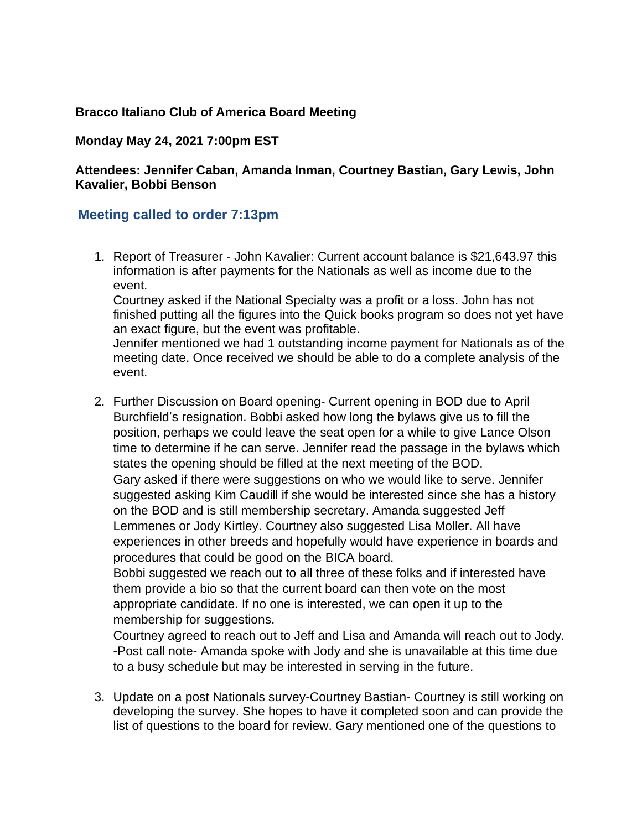## **Bracco Italiano Club of America Board Meeting**

## **Monday May 24, 2021 7:00pm EST**

## **Attendees: Jennifer Caban, Amanda Inman, Courtney Bastian, Gary Lewis, John Kavalier, Bobbi Benson**

## **Meeting called to order 7:13pm**

1. Report of Treasurer - John Kavalier: Current account balance is \$21,643.97 this information is after payments for the Nationals as well as income due to the event.

Courtney asked if the National Specialty was a profit or a loss. John has not finished putting all the figures into the Quick books program so does not yet have an exact figure, but the event was profitable.

Jennifer mentioned we had 1 outstanding income payment for Nationals as of the meeting date. Once received we should be able to do a complete analysis of the event.

2. Further Discussion on Board opening- Current opening in BOD due to April Burchfield's resignation. Bobbi asked how long the bylaws give us to fill the position, perhaps we could leave the seat open for a while to give Lance Olson time to determine if he can serve. Jennifer read the passage in the bylaws which states the opening should be filled at the next meeting of the BOD. Gary asked if there were suggestions on who we would like to serve. Jennifer suggested asking Kim Caudill if she would be interested since she has a history on the BOD and is still membership secretary. Amanda suggested Jeff Lemmenes or Jody Kirtley. Courtney also suggested Lisa Moller. All have experiences in other breeds and hopefully would have experience in boards and procedures that could be good on the BICA board.

Bobbi suggested we reach out to all three of these folks and if interested have them provide a bio so that the current board can then vote on the most appropriate candidate. If no one is interested, we can open it up to the membership for suggestions.

Courtney agreed to reach out to Jeff and Lisa and Amanda will reach out to Jody. -Post call note- Amanda spoke with Jody and she is unavailable at this time due to a busy schedule but may be interested in serving in the future.

3. Update on a post Nationals survey-Courtney Bastian- Courtney is still working on developing the survey. She hopes to have it completed soon and can provide the list of questions to the board for review. Gary mentioned one of the questions to